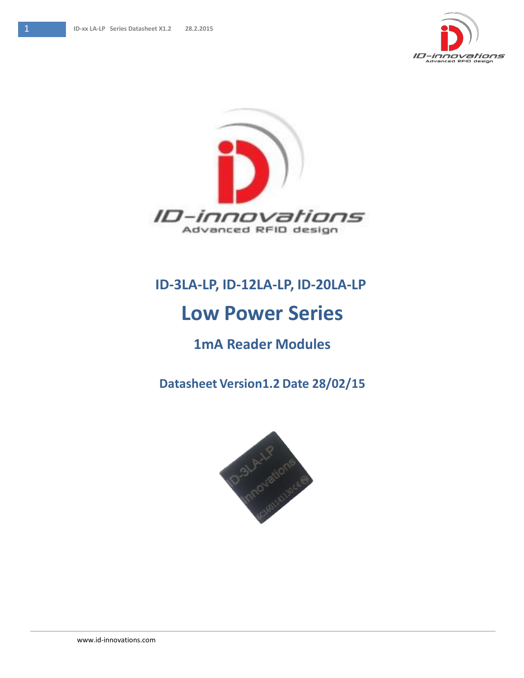



## **ID-3LA-LP, ID-12LA-LP, ID-20LA-LP**

# **Low Power Series**

### **1mA Reader Modules**

**Datasheet Version1.2 Date 28/02/15**

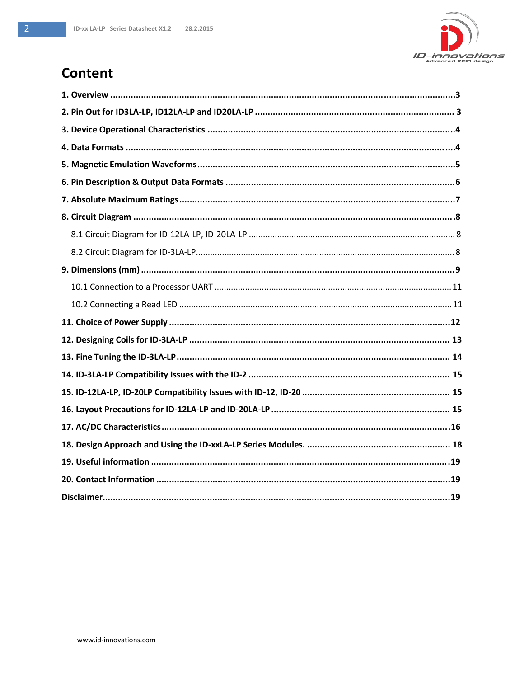

### Content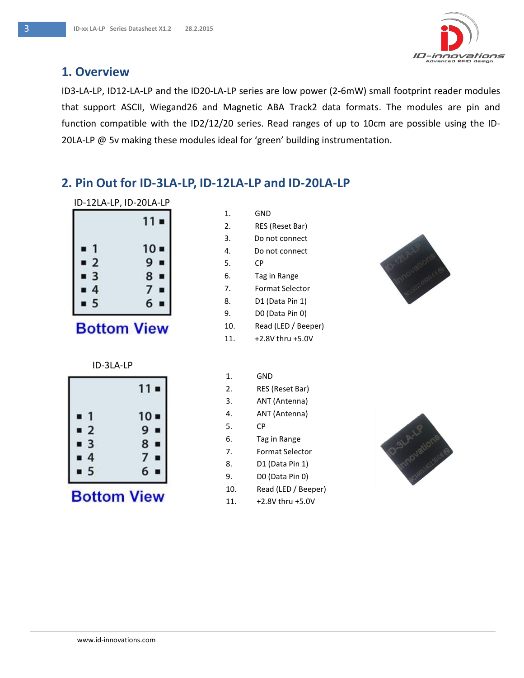

#### **1. Overview**

ID3-LA-LP, ID12-LA-LP and the ID20-LA-LP series are low power (2-6mW) small footprint reader modules that support ASCII, Wiegand26 and Magnetic ABA Track2 data formats. The modules are pin and function compatible with the ID2/12/20 series. Read ranges of up to 10cm are possible using the ID-20LA-LP @ 5v making these modules ideal for 'green' building instrumentation.

#### **2. Pin Out for ID-3LA-LP, ID-12LA-LP and ID-20LA-LP**

| ID-12LA-LP, ID-20LA-LP |  |
|------------------------|--|
|                        |  |

| 11 ■            |
|-----------------|
| $10 -$          |
| 9               |
| 8<br>U          |
| 7               |
| $6\overline{6}$ |
|                 |

## **Bottom View**

#### ID-3LA-LP

|                              | 11 =                |
|------------------------------|---------------------|
| 4<br>۰                       | $10 -$              |
| $\overline{2}$<br>■          | 9<br>$\blacksquare$ |
| $\overline{\mathbf{3}}$<br>■ | 8<br>■              |
| 4<br>Ľ                       | $\boldsymbol{\eta}$ |
| 5                            | 6                   |

## **Bottom View**

| $\mathbf 1$ | GND                  |
|-------------|----------------------|
| 2.          | RES (Reset Bar)      |
| 3.          | Do not connect       |
| 4.          | Do not connect       |
| 5.          | CР                   |
| 6.          | Tag in Range         |
| 7.          | Format Selector      |
| 8.          | D1 (Data Pin 1)      |
| 9.          | D0 (Data Pin 0)      |
| 10.         | Read (LED / Beeper)  |
| 11.         | $+2.8V$ thru $+5.0V$ |

| 1.  | GND                 |
|-----|---------------------|
| 2.  | RES (Reset Bar)     |
| 3.  | ANT (Antenna)       |
| 4.  | ANT (Antenna)       |
| 5.  | СP                  |
| 6.  | Tag in Range        |
| 7.  | Format Selector     |
| 8.  | D1 (Data Pin 1)     |
| 9.  | D0 (Data Pin 0)     |
| 10. | Read (LED / Beeper) |
| 11. | +2.8V thru +5.0V    |



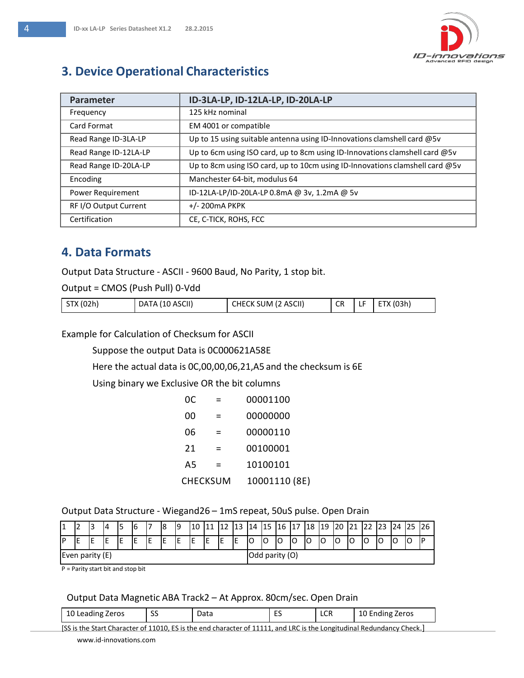

### **3. Device Operational Characteristics**

| Parameter             | ID-3LA-LP, ID-12LA-LP, ID-20LA-LP                                            |
|-----------------------|------------------------------------------------------------------------------|
| Frequency             | 125 kHz nominal                                                              |
| Card Format           | EM 4001 or compatible                                                        |
| Read Range ID-3LA-LP  | Up to 15 using suitable antenna using ID-Innovations clamshell card $@5v$    |
| Read Range ID-12LA-LP | Up to 6cm using ISO card, up to 8cm using ID-Innovations clamshell card @5v  |
| Read Range ID-20LA-LP | Up to 8cm using ISO card, up to 10cm using ID-Innovations clamshell card @5v |
| Encoding              | Manchester 64-bit, modulus 64                                                |
| Power Requirement     | ID-12LA-LP/ID-20LA-LP 0.8mA @ 3v, 1.2mA @ 5v                                 |
| RF I/O Output Current | $+/- 200$ mA PKPK                                                            |
| Certification         | CE, C-TICK, ROHS, FCC                                                        |

#### **4. Data Formats**

Output Data Structure - ASCII - 9600 Baud, No Parity, 1 stop bit.

Output = CMOS (Push Pull) 0-Vdd

| STX (02h) | DATA (10 ASCII) | CHECK SUM (2 ASCII) | <b>CR</b> | ╌ | ETX (03h) |
|-----------|-----------------|---------------------|-----------|---|-----------|
|           |                 |                     |           |   |           |

Example for Calculation of Checksum for ASCII

Suppose the output Data is 0C000621A58E

Here the actual data is 0C,00,00,06,21,A5 and the checksum is 6E

Using binary we Exclusive OR the bit columns

| 0C. |          | 00001100      |
|-----|----------|---------------|
| იი  | =        | 00000000      |
| 06  |          | 00000110      |
| 21  |          | 00100001      |
| A5  |          | 10100101      |
|     | CHECKSUM | 10001110 (8E) |

#### Output Data Structure - Wiegand26 – 1mS repeat, 50uS pulse. Open Drain

|                   |    | 13 | 14 |   | 6 |                | 18     | ١q | ⊥∪ |    |    |    | 14 | 115 | 16 | 117<br><b>L</b> | 18 | 19 | 20 | 41 | ⊷ | 123 | 24 |    |  |
|-------------------|----|----|----|---|---|----------------|--------|----|----|----|----|----|----|-----|----|-----------------|----|----|----|----|---|-----|----|----|--|
| IP                | ΙE | ΙE | IE | - |   | IE             | F<br>ᅚ | IE | ıE | IE | IE | IЕ | lO | IO  | lO |                 | lO | ◡  |    |    | U | ັ   |    | lo |  |
| Even parity $(E)$ |    |    |    |   |   | Odd parity (O) |        |    |    |    |    |    |    |     |    |                 |    |    |    |    |   |     |    |    |  |

P = Parity start bit and stop bit

#### Output Data Magnetic ABA Track2 – At Approx. 80cm/sec. Open Drain

| 10 Leading Zeros | $\sim$<br>ັ | Data | - -<br><u>_ </u> | $\sim$<br>LUR | 10 Ending Zeros |
|------------------|-------------|------|------------------|---------------|-----------------|
|------------------|-------------|------|------------------|---------------|-----------------|

[www.id-innovations.com](http://www.id-innovations.com/) [SS is the Start Character of 11010, ES is the end character of 11111, and LRC is the Longitudinal Redundancy Check.]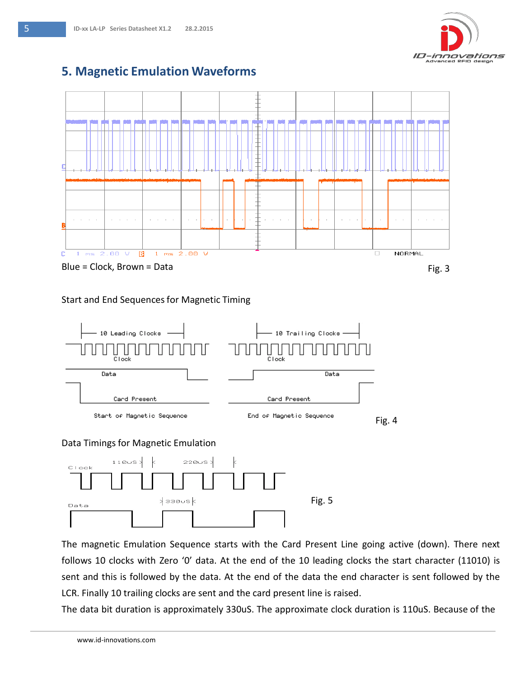

#### **5. Magnetic Emulation Waveforms**



#### Start and End Sequences for Magnetic Timing





The magnetic Emulation Sequence starts with the Card Present Line going active (down). There next follows 10 clocks with Zero '0' data. At the end of the 10 leading clocks the start character (11010) is sent and this is followed by the data. At the end of the data the end character is sent followed by the LCR. Finally 10 trailing clocks are sent and the card present line is raised.

The data bit duration is approximately 330uS. The approximate clock duration is 110uS. Because of the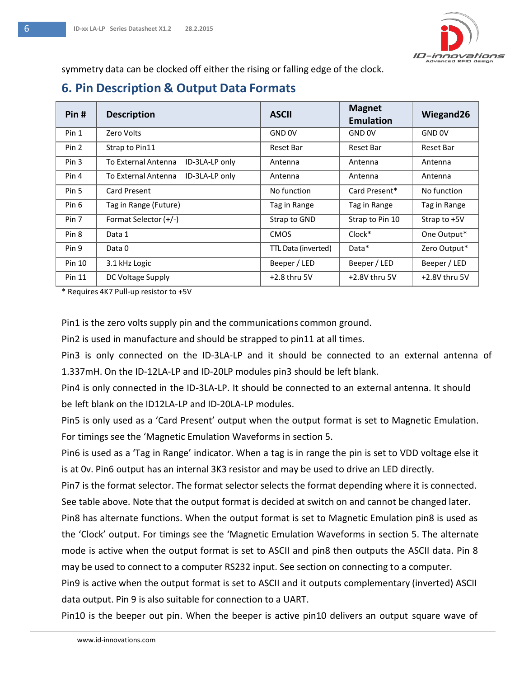

symmetry data can be clocked off either the rising or falling edge of the clock.

### **6. Pin Description & Output Data Formats**

| Pin#             | <b>Description</b>                    | <b>ASCII</b>        | <b>Magnet</b><br><b>Emulation</b> | Wiegand26         |
|------------------|---------------------------------------|---------------------|-----------------------------------|-------------------|
| Pin 1            | Zero Volts                            | GND <sub>OV</sub>   | GND 0V                            | GND <sub>OV</sub> |
| Pin 2            | Strap to Pin11                        | Reset Bar           | Reset Bar                         | Reset Bar         |
| Pin <sub>3</sub> | To External Antenna<br>ID-3LA-LP only | Antenna             | Antenna                           | Antenna           |
| Pin 4            | ID-3LA-LP only<br>To External Antenna | Antenna             | Antenna                           | Antenna           |
| Pin 5            | Card Present                          | No function         | Card Present*                     | No function       |
| Pin 6            | Tag in Range (Future)                 | Tag in Range        | Tag in Range                      | Tag in Range      |
| Pin 7            | Format Selector (+/-)                 | Strap to GND        | Strap to Pin 10                   | Strap to +5V      |
| Pin <sub>8</sub> | Data 1                                | <b>CMOS</b>         | Clock*                            | One Output*       |
| Pin 9            | Data 0                                | TTL Data (inverted) | Data*                             | Zero Output*      |
| Pin 10           | 3.1 kHz Logic                         | Beeper / LED        | Beeper / LED                      | Beeper / LED      |
| Pin 11           | DC Voltage Supply                     | $+2.8$ thru 5V      | +2.8V thru 5V                     | +2.8V thru 5V     |

\* Requires 4K7 Pull-up resistor to +5V

Pin1 is the zero volts supply pin and the communications common ground.

Pin2 is used in manufacture and should be strapped to pin11 at all times.

Pin3 is only connected on the ID-3LA-LP and it should be connected to an external antenna of 1.337mH. On the ID-12LA-LP and ID-20LP modules pin3 should be left blank.

Pin4 is only connected in the ID-3LA-LP. It should be connected to an external antenna. It should be left blank on the ID12LA-LP and ID-20LA-LP modules.

Pin5 is only used as a 'Card Present' output when the output format is set to Magnetic Emulation. For timings see the 'Magnetic Emulation Waveforms in section 5.

Pin6 is used as a 'Tag in Range' indicator. When a tag is in range the pin is set to VDD voltage else it is at 0v. Pin6 output has an internal 3K3 resistor and may be used to drive an LED directly.

Pin7 is the format selector. The format selector selects the format depending where it is connected. See table above. Note that the output format is decided at switch on and cannot be changed later.

Pin8 has alternate functions. When the output format is set to Magnetic Emulation pin8 is used as the 'Clock' output. For timings see the 'Magnetic Emulation Waveforms in section 5. The alternate mode is active when the output format is set to ASCII and pin8 then outputs the ASCII data. Pin 8 may be used to connect to a computer RS232 input. See section on connecting to a computer.

Pin9 is active when the output format is set to ASCII and it outputs complementary (inverted) ASCII data output. Pin 9 is also suitable for connection to a UART.

Pin10 is the beeper out pin. When the beeper is active pin10 delivers an output square wave of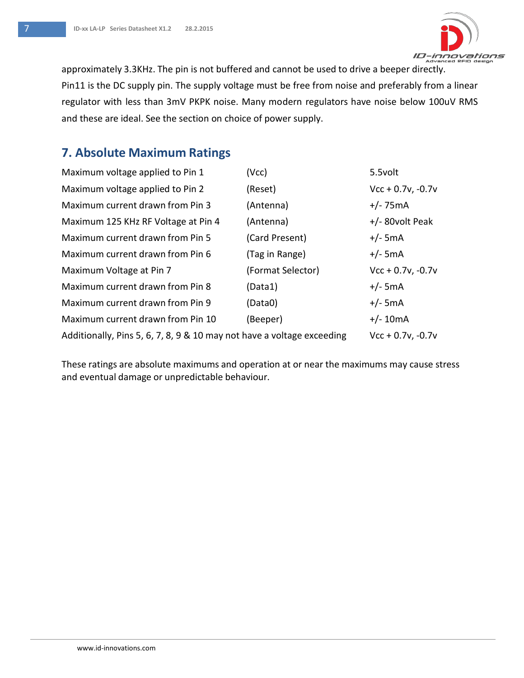

approximately 3.3KHz. The pin is not buffered and cannot be used to drive a beeper directly. Pin11 is the DC supply pin. The supply voltage must be free from noise and preferably from a linear regulator with less than 3mV PKPK noise. Many modern regulators have noise below 100uV RMS and these are ideal. See the section on choice of power supply.

#### **7. Absolute Maximum Ratings**

| Maximum voltage applied to Pin 1                                       | (Vcc)             | 5.5volt             |
|------------------------------------------------------------------------|-------------------|---------------------|
| Maximum voltage applied to Pin 2                                       | (Reset)           | $Vcc + 0.7v, -0.7v$ |
| Maximum current drawn from Pin 3                                       | (Antenna)         | $+/- 75mA$          |
| Maximum 125 KHz RF Voltage at Pin 4                                    | (Antenna)         | $+/-$ 80volt Peak   |
| Maximum current drawn from Pin 5                                       | (Card Present)    | $+/-$ 5mA           |
| Maximum current drawn from Pin 6                                       | (Tag in Range)    | $+/-$ 5mA           |
| Maximum Voltage at Pin 7                                               | (Format Selector) | $Vcc + 0.7v, -0.7v$ |
| Maximum current drawn from Pin 8                                       | (Data1)           | $+/-$ 5mA           |
| Maximum current drawn from Pin 9                                       | (Data0)           | $+/-$ 5mA           |
| Maximum current drawn from Pin 10                                      | (Beeper)          | $+/- 10mA$          |
| Additionally, Pins 5, 6, 7, 8, 9 & 10 may not have a voltage exceeding |                   | $Vcc + 0.7v, -0.7v$ |

These ratings are absolute maximums and operation at or near the maximums may cause stress and eventual damage or unpredictable behaviour.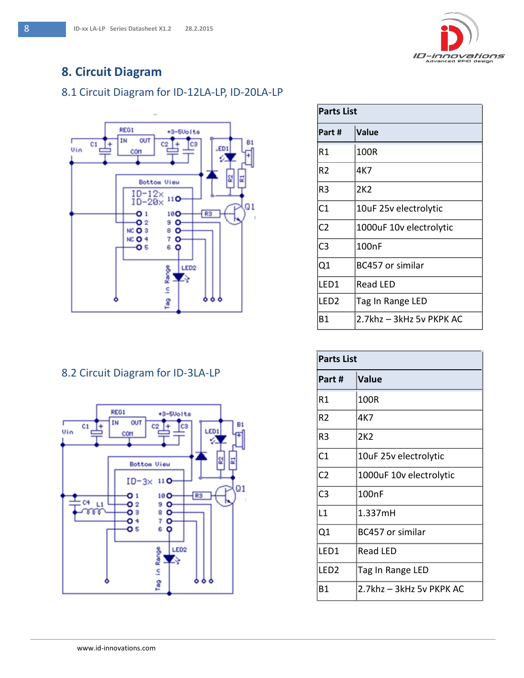

### **8. Circuit Diagram**

#### 8.1 Circuit Diagram for ID-12LA-LP, ID-20LA-LP



#### 8.2 Circuit Diagram for ID-3LA-LP



| <b>Parts List</b> |                          |  |
|-------------------|--------------------------|--|
| Part #            | Value                    |  |
| R1                | 100R                     |  |
| R2                | 4K7                      |  |
| R3                | 2K2                      |  |
| C <sub>1</sub>    | 10uF 25v electrolytic    |  |
| C <sub>2</sub>    | 1000uF 10v electrolytic  |  |
| C <sub>3</sub>    | 100 <sub>nF</sub>        |  |
| Q1                | <b>BC457 or similar</b>  |  |
| LED1              | <b>Read LED</b>          |  |
| LED <sub>2</sub>  | Tag In Range LED         |  |
| Β1                | 2.7khz – 3kHz 5v PKPK AC |  |

| <b>Parts List</b> |                          |  |
|-------------------|--------------------------|--|
| Part #            | Value                    |  |
| R1                | 100R                     |  |
| R <sub>2</sub>    | 4K7                      |  |
| R3                | 2K2                      |  |
| C <sub>1</sub>    | 10uF 25v electrolytic    |  |
| C <sub>2</sub>    | 1000uF 10v electrolytic  |  |
| C <sub>3</sub>    | 100nF                    |  |
| L1                | 1.337mH                  |  |
| Q1                | BC457 or similar         |  |
| LED <sub>1</sub>  | <b>Read LED</b>          |  |
| LED <sub>2</sub>  | Tag In Range LED         |  |
| Β1                | 2.7khz - 3kHz 5v PKPK AC |  |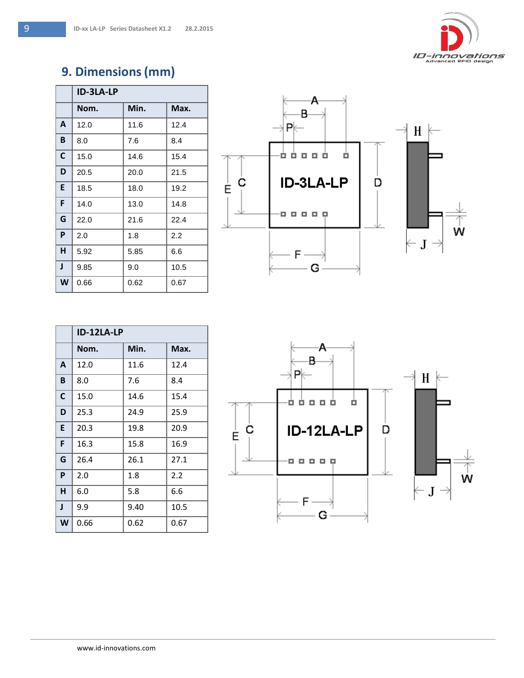

### **9. Dimensions(mm)**

|   | <b>ID-3LA-LP</b> |      |      |
|---|------------------|------|------|
|   | Nom.             | Min. | Max. |
| A | 12.0             | 11.6 | 12.4 |
| B | 8.0              | 7.6  | 8.4  |
| C | 15.0             | 14.6 | 15.4 |
| D | 20.5             | 20.0 | 21.5 |
| E | 18.5             | 18.0 | 19.2 |
| F | 14.0             | 13.0 | 14.8 |
| G | 22.0             | 21.6 | 22.4 |
| P | 2.0              | 1.8  | 2.2  |
| н | 5.92             | 5.85 | 6.6  |
| J | 9.85             | 9.0  | 10.5 |
| W | 0.66             | 0.62 | 0.67 |



|              | ID-12LA-LP |      |      |
|--------------|------------|------|------|
|              | Nom.       | Min. | Max. |
| A            | 12.0       | 11.6 | 12.4 |
| B            | 8.0        | 7.6  | 8.4  |
| C            | 15.0       | 14.6 | 15.4 |
| D            | 25.3       | 24.9 | 25.9 |
| E            | 20.3       | 19.8 | 20.9 |
| F            | 16.3       | 15.8 | 16.9 |
| G            | 26.4       | 26.1 | 27.1 |
| P            | 2.0        | 1.8  | 2.2  |
| н            | 6.0        | 5.8  | 6.6  |
| $\mathbf{I}$ | 9.9        | 9.40 | 10.5 |
| W            | 0.66       | 0.62 | 0.67 |

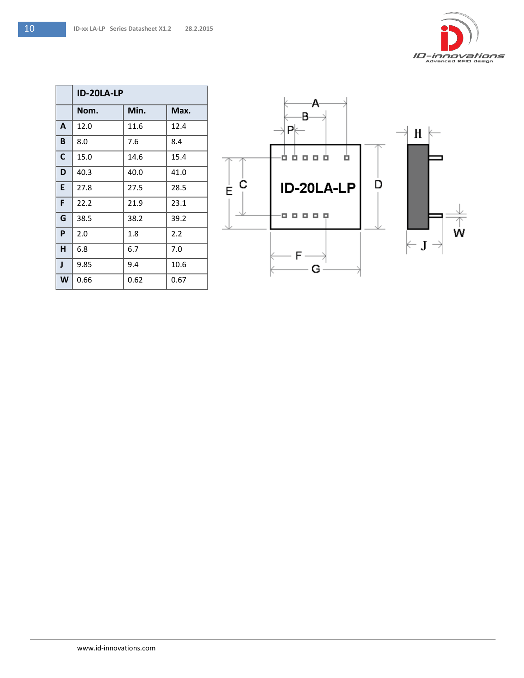|   | ID-20LA-LP |      |      |
|---|------------|------|------|
|   | Nom.       | Min. | Max. |
| A | 12.0       | 11.6 | 12.4 |
| B | 8.0        | 7.6  | 8.4  |
| C | 15.0       | 14.6 | 15.4 |
| D | 40.3       | 40.0 | 41.0 |
| E | 27.8       | 27.5 | 28.5 |
| F | 22.2       | 21.9 | 23.1 |
| G | 38.5       | 38.2 | 39.2 |
| P | 2.0        | 1.8  | 2.2  |
| н | 6.8        | 6.7  | 7.0  |
| J | 9.85       | 9.4  | 10.6 |
| W | 0.66       | 0.62 | 0.67 |

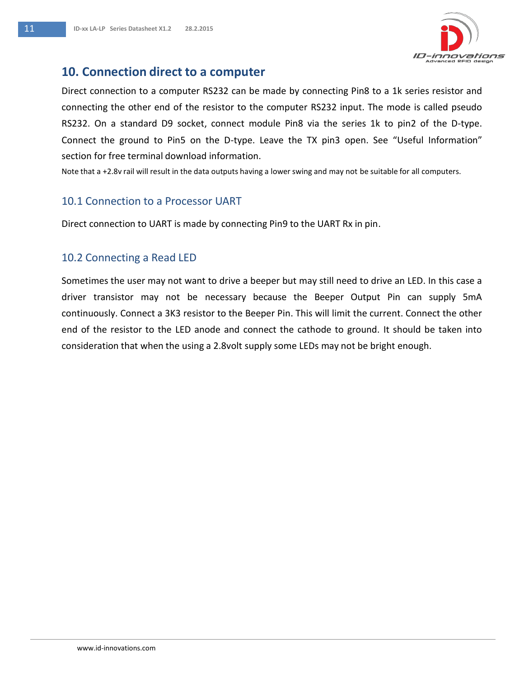

#### **10. Connection direct to a computer**

Direct connection to a computer RS232 can be made by connecting Pin8 to a 1k series resistor and connecting the other end of the resistor to the computer RS232 input. The mode is called pseudo RS232. On a standard D9 socket, connect module Pin8 via the series 1k to pin2 of the D-type. Connect the ground to Pin5 on the D-type. Leave the TX pin3 open. See "Useful Information" section for free terminal download information.

Note that a +2.8v rail will result in the data outputs having a lower swing and may not be suitable for all computers.

#### 10.1 Connection to a Processor UART

Direct connection to UART is made by connecting Pin9 to the UART Rx in pin.

#### 10.2 Connecting a Read LED

Sometimes the user may not want to drive a beeper but may still need to drive an LED. In this case a driver transistor may not be necessary because the Beeper Output Pin can supply 5mA continuously. Connect a 3K3 resistor to the Beeper Pin. This will limit the current. Connect the other end of the resistor to the LED anode and connect the cathode to ground. It should be taken into consideration that when the using a 2.8volt supply some LEDs may not be bright enough.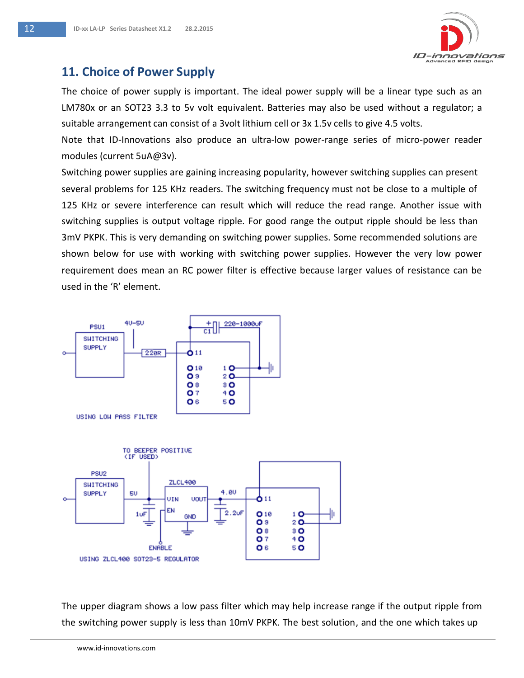

### **11. Choice of Power Supply**

The choice of power supply is important. The ideal power supply will be a linear type such as an LM780x or an SOT23 3.3 to 5v volt equivalent. Batteries may also be used without a regulator; a suitable arrangement can consist of a 3volt lithium cell or 3x 1.5v cells to give 4.5 volts.

Note that ID-Innovations also produce an ultra-low power-range series of micro-power reader modules (current 5uA@3v).

Switching power supplies are gaining increasing popularity, however switching supplies can present several problems for 125 KHz readers. The switching frequency must not be close to a multiple of 125 KHz or severe interference can result which will reduce the read range. Another issue with switching supplies is output voltage ripple. For good range the output ripple should be less than 3mV PKPK. This is very demanding on switching power supplies. Some recommended solutions are shown below for use with working with switching power supplies. However the very low power requirement does mean an RC power filter is effective because larger values of resistance can be used in the 'R' element.



The upper diagram shows a low pass filter which may help increase range if the output ripple from the switching power supply is less than 10mV PKPK. The best solution, and the one which takes up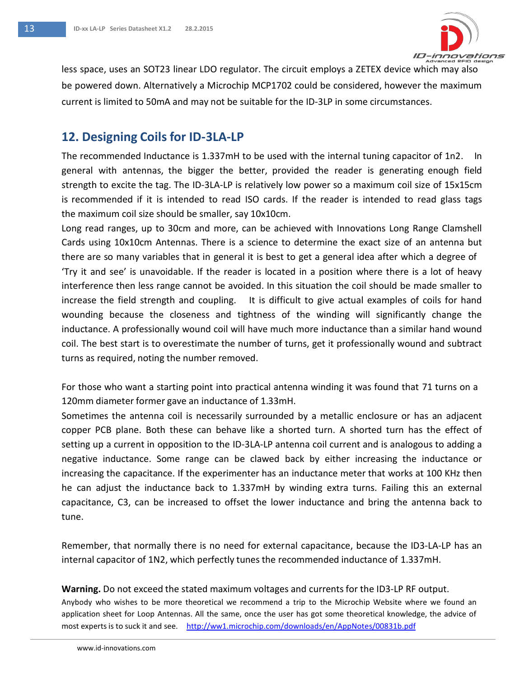

less space, uses an SOT23 linear LDO regulator. The circuit employs a ZETEX device which may also be powered down. Alternatively a Microchip MCP1702 could be considered, however the maximum current is limited to 50mA and may not be suitable for the ID-3LP in some circumstances.

#### **12. Designing Coils for ID-3LA-LP**

The recommended Inductance is 1.337mH to be used with the internal tuning capacitor of 1n2. In general with antennas, the bigger the better, provided the reader is generating enough field strength to excite the tag. The ID-3LA-LP is relatively low power so a maximum coil size of 15x15cm is recommended if it is intended to read ISO cards. If the reader is intended to read glass tags the maximum coil size should be smaller, say 10x10cm.

Long read ranges, up to 30cm and more, can be achieved with Innovations Long Range Clamshell Cards using 10x10cm Antennas. There is a science to determine the exact size of an antenna but there are so many variables that in general it is best to get a general idea after which a degree of 'Try it and see' is unavoidable. If the reader is located in a position where there is a lot of heavy interference then less range cannot be avoided. In this situation the coil should be made smaller to increase the field strength and coupling. It is difficult to give actual examples of coils for hand wounding because the closeness and tightness of the winding will significantly change the inductance. A professionally wound coil will have much more inductance than a similar hand wound coil. The best start is to overestimate the number of turns, get it professionally wound and subtract turns as required, noting the number removed.

For those who want a starting point into practical antenna winding it was found that 71 turns on a 120mm diameter former gave an inductance of 1.33mH.

Sometimes the antenna coil is necessarily surrounded by a metallic enclosure or has an adjacent copper PCB plane. Both these can behave like a shorted turn. A shorted turn has the effect of setting up a current in opposition to the ID-3LA-LP antenna coil current and is analogous to adding a negative inductance. Some range can be clawed back by either increasing the inductance or increasing the capacitance. If the experimenter has an inductance meter that works at 100 KHz then he can adjust the inductance back to 1.337mH by winding extra turns. Failing this an external capacitance, C3, can be increased to offset the lower inductance and bring the antenna back to tune.

Remember, that normally there is no need for external capacitance, because the ID3-LA-LP has an internal capacitor of 1N2, which perfectly tunes the recommended inductance of 1.337mH.

**Warning.** Do not exceed the stated maximum voltages and currentsfor the ID3-LP RF output.

Anybody who wishes to be more theoretical we recommend a trip to the Microchip Website where we found an application sheet for Loop Antennas. All the same, once the user has got some theoretical knowledge, the advice of most experts is to suck it and see. <http://ww1.microchip.com/downloads/en/AppNotes/00831b.pdf>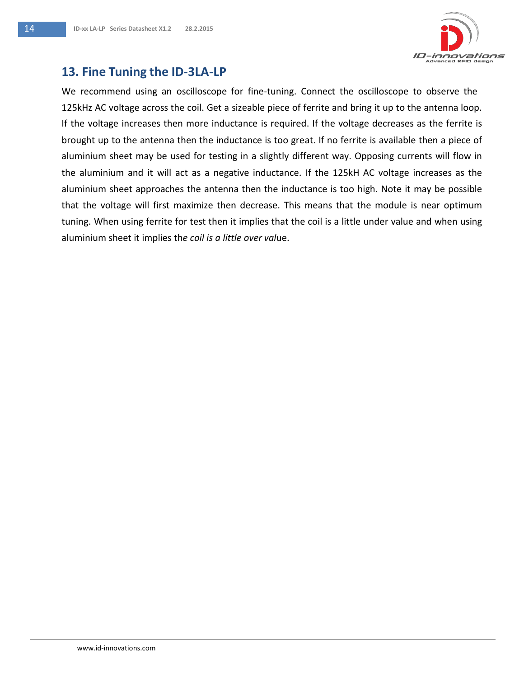

#### **13. Fine Tuning the ID-3LA-LP**

We recommend using an oscilloscope for fine-tuning. Connect the oscilloscope to observe the 125kHz AC voltage across the coil. Get a sizeable piece of ferrite and bring it up to the antenna loop. If the voltage increases then more inductance is required. If the voltage decreases as the ferrite is brought up to the antenna then the inductance is too great. If no ferrite is available then a piece of aluminium sheet may be used for testing in a slightly different way. Opposing currents will flow in the aluminium and it will act as a negative inductance. If the 125kH AC voltage increases as the aluminium sheet approaches the antenna then the inductance is too high. Note it may be possible that the voltage will first maximize then decrease. This means that the module is near optimum tuning. When using ferrite for test then it implies that the coil is a little under value and when using aluminium sheet it implies th*e coil is a little over val*ue.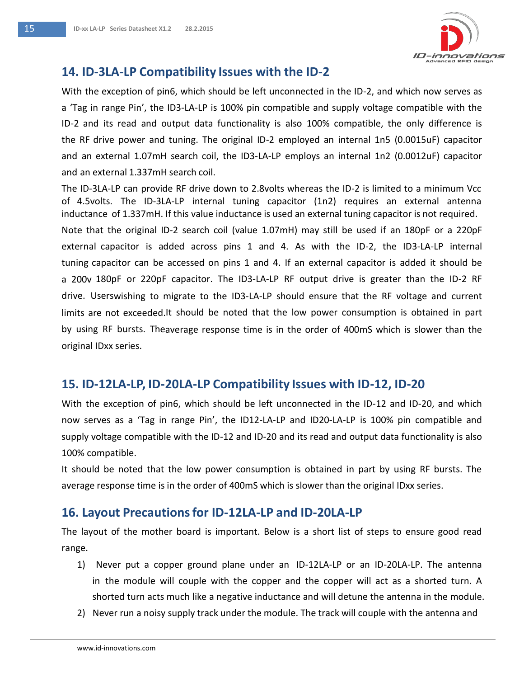

#### **14. ID-3LA-LP Compatibility Issues with the ID-2**

With the exception of pin6, which should be left unconnected in the ID-2, and which now serves as a 'Tag in range Pin', the ID3-LA-LP is 100% pin compatible and supply voltage compatible with the ID-2 and its read and output data functionality is also 100% compatible, the only difference is the RF drive power and tuning. The original ID-2 employed an internal 1n5 (0.0015uF) capacitor and an external 1.07mH search coil, the ID3-LA-LP employs an internal 1n2 (0.0012uF) capacitor and an external 1.337mH search coil.

The ID-3LA-LP can provide RF drive down to 2.8volts whereas the ID-2 is limited to a minimum Vcc of 4.5volts. The ID-3LA-LP internal tuning capacitor (1n2) requires an external antenna inductance of 1.337mH. If this value inductance is used an external tuning capacitor is not required. Note that the original ID-2 search coil (value 1.07mH) may still be used if an 180pF or a 220pF external capacitor is added across pins 1 and 4. As with the ID-2, the ID3-LA-LP internal tuning capacitor can be accessed on pins 1 and 4. If an external capacitor is added it should be a 200v 180pF or 220pF capacitor. The ID3-LA-LP RF output drive is greater than the ID-2 RF drive. Userswishing to migrate to the ID3-LA-LP should ensure that the RF voltage and current limits are not exceeded.It should be noted that the low power consumption is obtained in part by using RF bursts. Theaverage response time is in the order of 400mS which is slower than the original IDxx series.

#### **15. ID-12LA-LP, ID-20LA-LP Compatibility Issues with ID-12, ID-20**

With the exception of pin6, which should be left unconnected in the ID-12 and ID-20, and which now serves as a 'Tag in range Pin', the ID12-LA-LP and ID20-LA-LP is 100% pin compatible and supply voltage compatible with the ID-12 and ID-20 and its read and output data functionality is also 100% compatible.

It should be noted that the low power consumption is obtained in part by using RF bursts. The average response time is in the order of 400mS which is slower than the original IDxx series.

#### **16. Layout Precautionsfor ID-12LA-LP and ID-20LA-LP**

The layout of the mother board is important. Below is a short list of steps to ensure good read range.

- 1) Never put a copper ground plane under an ID-12LA-LP or an ID-20LA-LP. The antenna in the module will couple with the copper and the copper will act as a shorted turn. A shorted turn acts much like a negative inductance and will detune the antenna in the module.
- 2) Never run a noisy supply track under the module. The track will couple with the antenna and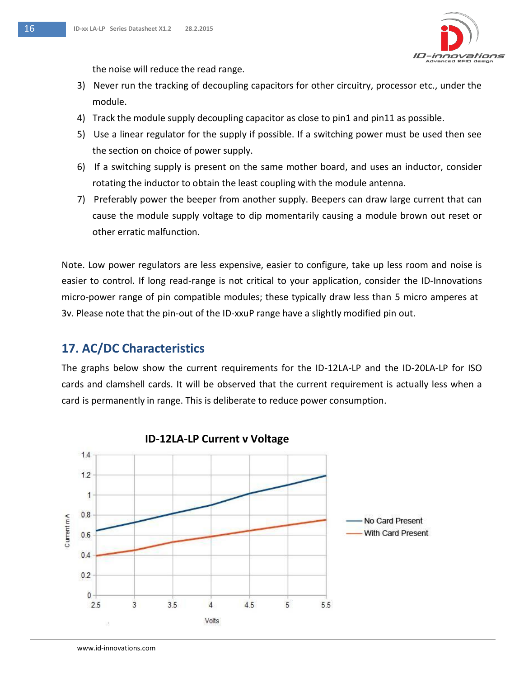

the noise will reduce the read range.

- 3) Never run the tracking of decoupling capacitors for other circuitry, processor etc., under the module.
- 4) Track the module supply decoupling capacitor as close to pin1 and pin11 as possible.
- 5) Use a linear regulator for the supply if possible. If a switching power must be used then see the section on choice of power supply.
- 6) If a switching supply is present on the same mother board, and uses an inductor, consider rotating the inductor to obtain the least coupling with the module antenna.
- 7) Preferably power the beeper from another supply. Beepers can draw large current that can cause the module supply voltage to dip momentarily causing a module brown out reset or other erratic malfunction.

Note. Low power regulators are less expensive, easier to configure, take up less room and noise is easier to control. If long read-range is not critical to your application, consider the ID-Innovations micro-power range of pin compatible modules; these typically draw less than 5 micro amperes at 3v. Please note that the pin-out of the ID-xxuP range have a slightly modified pin out.

### **17. AC/DC Characteristics**

The graphs below show the current requirements for the ID-12LA-LP and the ID-20LA-LP for ISO cards and clamshell cards. It will be observed that the current requirement is actually less when a card is permanently in range. This is deliberate to reduce power consumption.



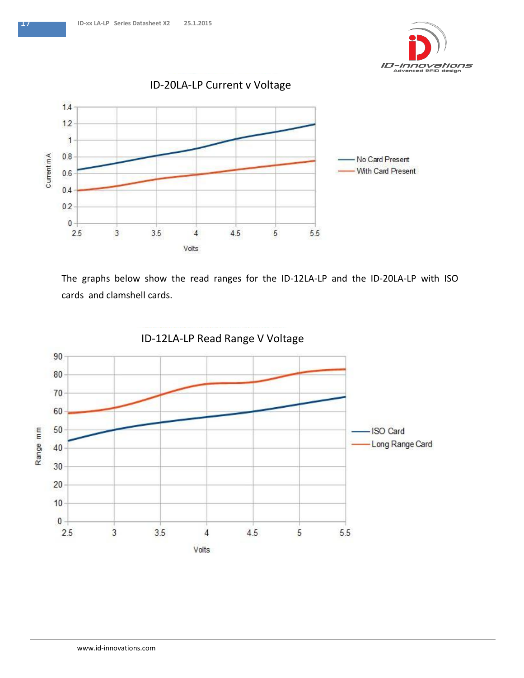



The graphs below show the read ranges for the ID-12LA-LP and the ID-20LA-LP with ISO cards and clamshell cards.

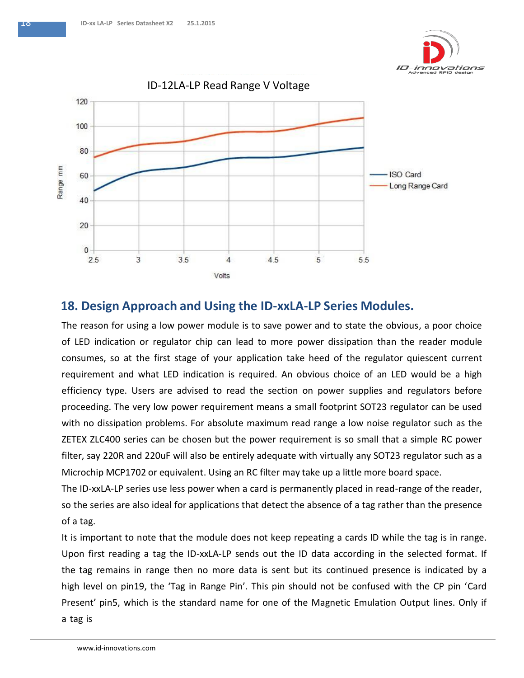



#### **18. Design Approach and Using the ID-xxLA-LP Series Modules.**

The reason for using a low power module is to save power and to state the obvious, a poor choice of LED indication or regulator chip can lead to more power dissipation than the reader module consumes, so at the first stage of your application take heed of the regulator quiescent current requirement and what LED indication is required. An obvious choice of an LED would be a high efficiency type. Users are advised to read the section on power supplies and regulators before proceeding. The very low power requirement means a small footprint SOT23 regulator can be used with no dissipation problems. For absolute maximum read range a low noise regulator such as the ZETEX ZLC400 series can be chosen but the power requirement is so small that a simple RC power filter, say 220R and 220uF will also be entirely adequate with virtually any SOT23 regulator such as a Microchip MCP1702 or equivalent. Using an RC filter may take up a little more board space.

The ID-xxLA-LP series use less power when a card is permanently placed in read-range of the reader, so the series are also ideal for applications that detect the absence of a tag rather than the presence of a tag.

It is important to note that the module does not keep repeating a cards ID while the tag is in range. Upon first reading a tag the ID-xxLA-LP sends out the ID data according in the selected format. If the tag remains in range then no more data is sent but its continued presence is indicated by a high level on pin19, the 'Tag in Range Pin'. This pin should not be confused with the CP pin 'Card Present' pin5, which is the standard name for one of the Magnetic Emulation Output lines. Only if a tag is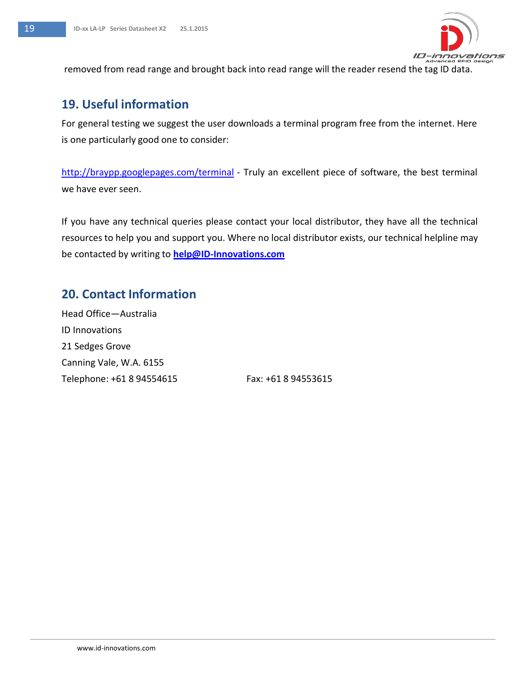

removed from read range and brought back into read range will the reader resend the tag ID data.

### **19. Useful information**

For general testing we suggest the user downloads a terminal program free from the internet. Here is one particularly good one to consider:

<http://braypp.googlepages.com/terminal> - Truly an excellent piece of software, the best terminal we have ever seen.

If you have any technical queries please contact your local distributor, they have all the technical resources to help you and support you. Where no local distributor exists, our technical helpline may be contacted by writing to **[help@ID-Innovations.com](mailto:help@ID-Innovations.com)**

#### **20. Contact Information**

Head Office—Australia ID Innovations 21 Sedges Grove Canning Vale, W.A. 6155 Telephone: +61 8 94554615 Fax: +61 8 94553615